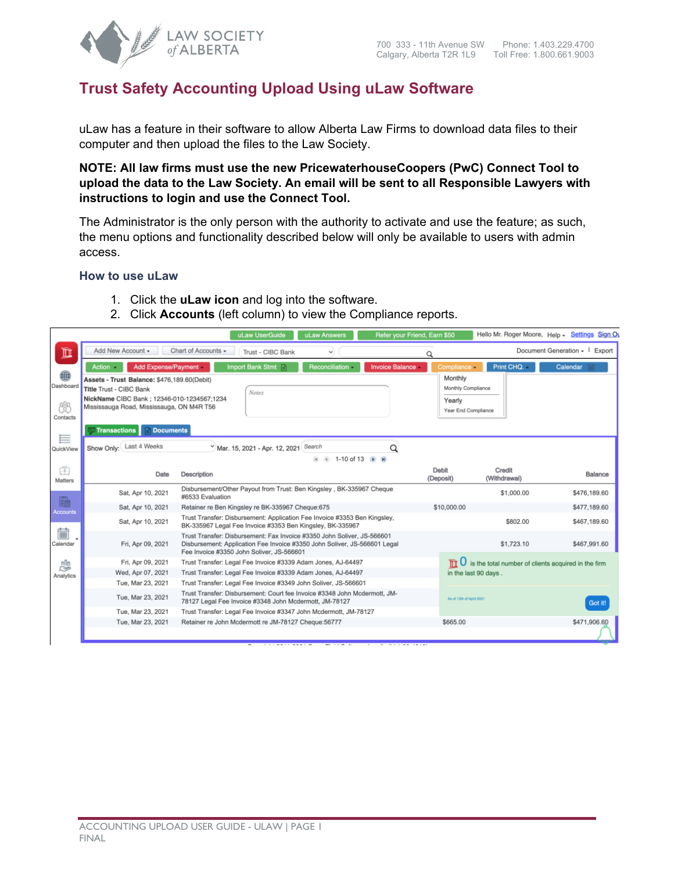

# **Trust Safety Accounting Upload Using uLaw Software**

uLaw has a feature in their software to allow Alberta Law Firms to download data files to their computer and then upload the files to the Law Society.

**NOTE: All law firms must use the new PricewaterhouseCoopers (PwC) Connect Tool to upload the data to the Law Society. An email will be sent to all Responsible Lawyers with instructions to login and use the Connect Tool.** 

The Administrator is the only person with the authority to activate and use the feature; as such, the menu options and functionality described below will only be available to users with admin access.

#### **How to use uLaw**

- 1. Click the **uLaw icon** and log into the software.
- 2. Click **Accounts** (left column) to view the Compliance reports.

|                                       |                                                                                                                                                                                                                                           | uLaw UserGuide                                                                                                                                                                                    | uLaw Answers                  | Refer your Friend, Earn \$50 |                                                                              |                        | Hello Mr. Roger Moore, Help - Settings Sign Ou                     |
|---------------------------------------|-------------------------------------------------------------------------------------------------------------------------------------------------------------------------------------------------------------------------------------------|---------------------------------------------------------------------------------------------------------------------------------------------------------------------------------------------------|-------------------------------|------------------------------|------------------------------------------------------------------------------|------------------------|--------------------------------------------------------------------|
| $\mathbb{\overline{m}}$               | Add New Account -                                                                                                                                                                                                                         | Chart of Accounts -<br>Trust - CIBC Bank                                                                                                                                                          | v                             | Q                            |                                                                              |                        | Document Generation - I<br>Export                                  |
| ⊕<br>Dashboard<br>fi<br>Contacts<br>≣ | Action -<br>Add Expense/Payment<br>Assets - Trust Balance: \$476,189.60(Debit)<br>Title Trust - CIBC Bank<br>NickName CIBC Bank ; 12346-010-1234567;1234<br>Mississauga Road, Mississauga, ON M4R T56<br>Transactions<br><b>Documents</b> | Import Bank Stmt<br>Notes                                                                                                                                                                         | Reconciliation -              | <b>Invoice Balance</b>       | Compliance<br>Monthly<br>Monthly Compliance<br>Yearly<br>Year End Compliance | Print CHQ.             | Calendar                                                           |
| QuickView                             | Show Only: Last 4 Weeks                                                                                                                                                                                                                   | Mar. 15, 2021 - Apr. 12, 2021 Search                                                                                                                                                              | 1-10 of 13 ▶ M<br>$ 4 $ $ 4 $ | Q                            |                                                                              |                        |                                                                    |
| â<br>Matters                          | Date                                                                                                                                                                                                                                      | Description                                                                                                                                                                                       |                               |                              | Debit<br>(Deposit)                                                           | Credit<br>(Withdrawal) | Balance                                                            |
|                                       | Sat, Apr 10, 2021                                                                                                                                                                                                                         | Disbursement/Other Payout from Trust: Ben Kingsley, BK-335967 Cheque<br>#6533 Evaluation                                                                                                          |                               |                              |                                                                              | \$1,000.00             | \$476,189.60                                                       |
| 臨<br><b>Accounts</b>                  | Sat, Apr 10, 2021                                                                                                                                                                                                                         | Retainer re Ben Kingsley re BK-335967 Cheque:675                                                                                                                                                  |                               |                              | \$10,000.00                                                                  |                        | \$477,189.60                                                       |
|                                       | Sat, Apr 10, 2021                                                                                                                                                                                                                         | Trust Transfer: Disbursement: Application Fee Invoice #3353 Ben Kingsley,<br>BK-335967 Legal Fee Invoice #3353 Ben Kingsley, BK-335967                                                            |                               |                              |                                                                              | \$802.00               | \$467.189.60                                                       |
| 篇<br>Calendar                         | Fri, Apr 09, 2021                                                                                                                                                                                                                         | Trust Transfer: Disbursement: Fax Invoice #3350 John Soliver, JS-566601<br>Disbursement: Application Fee Invoice #3350 John Soliver, JS-566601 Legal<br>Fee Invoice #3350 John Soliver, JS-566601 |                               |                              |                                                                              | \$1,723.10             | \$467,991.60                                                       |
| n∏n                                   | Fri, Apr 09, 2021                                                                                                                                                                                                                         | Trust Transfer: Legal Fee Invoice #3339 Adam Jones, AJ-64497                                                                                                                                      |                               |                              |                                                                              |                        | $\mathbb{R}$ U is the total number of clients acquired in the firm |
| $\approx$<br>Analytics                | Wed, Apr 07, 2021                                                                                                                                                                                                                         | Trust Transfer: Legal Fee Invoice #3339 Adam Jones, AJ-64497                                                                                                                                      |                               |                              | in the last 90 days.                                                         |                        |                                                                    |
|                                       | Tue, Mar 23, 2021                                                                                                                                                                                                                         | Trust Transfer: Legal Fee Invoice #3349 John Soliver, JS-566601                                                                                                                                   |                               |                              |                                                                              |                        |                                                                    |
|                                       | Tue, Mar 23, 2021                                                                                                                                                                                                                         | Trust Transfer: Disbursement: Court fee Invoice #3348 John Mcdermott, JM-<br>78127 Legal Fee Invoice #3348 John Mcdermott, JM-78127                                                               |                               |                              | As of 13th of April 2021                                                     |                        | Got it!                                                            |
|                                       | Tue, Mar 23, 2021                                                                                                                                                                                                                         | Trust Transfer: Legal Fee Invoice #3347 John Mcdermott, JM-78127                                                                                                                                  |                               |                              |                                                                              |                        |                                                                    |
|                                       | Tue, Mar 23, 2021                                                                                                                                                                                                                         | Retainer re John Mcdermott re JM-78127 Cheque:56777                                                                                                                                               |                               |                              | \$665.00                                                                     |                        | \$471,906.60                                                       |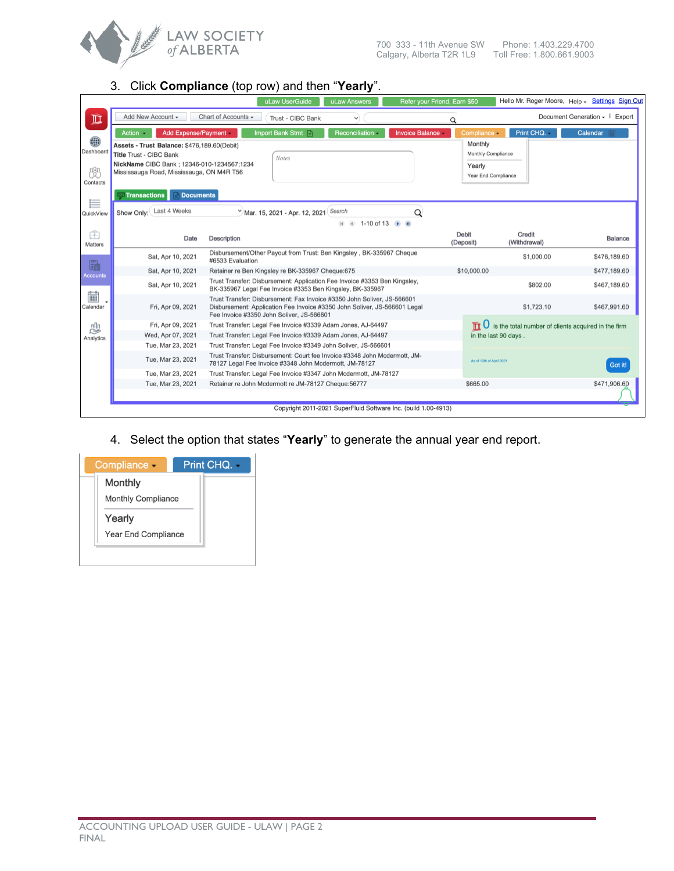

## 3. Click **Compliance** (top row) and then "**Yearly**".

|                                 |                                                                                                                                                                   | uLaw UserGuide                                                                                                                                                                                    | uLaw Answers                  | Refer your Friend, Earn \$50                                   |                                                                |                                                       | Hello Mr. Roger Moore, Help - Settings Sign Out |
|---------------------------------|-------------------------------------------------------------------------------------------------------------------------------------------------------------------|---------------------------------------------------------------------------------------------------------------------------------------------------------------------------------------------------|-------------------------------|----------------------------------------------------------------|----------------------------------------------------------------|-------------------------------------------------------|-------------------------------------------------|
| $\overline{\mathbb{D}}$         | Add New Account -                                                                                                                                                 | Chart of Accounts -<br>Trust - CIBC Bank                                                                                                                                                          | $\checkmark$                  |                                                                | Q                                                              |                                                       | Document Generation - I Export                  |
|                                 | Action -<br>Add Expense/Payment                                                                                                                                   | Import Bank Stmt                                                                                                                                                                                  | Reconciliation -              | Invoice Balance -                                              | Compliance -                                                   | Print CHQ.                                            | Calendar                                        |
| ⊕<br>Dashboard<br>ೊ<br>Contacts | Assets - Trust Balance: \$476,189.60(Debit)<br>Title Trust - CIBC Bank<br>NickName CIBC Bank: 12346-010-1234567:1234<br>Mississauga Road, Mississauga, ON M4R T56 | <b>Notes</b>                                                                                                                                                                                      |                               |                                                                | Monthly<br>Monthly Compliance<br>Yearly<br>Year End Compliance |                                                       |                                                 |
|                                 | <b>Transactions</b><br><b>Documents</b>                                                                                                                           |                                                                                                                                                                                                   |                               |                                                                |                                                                |                                                       |                                                 |
| ≣<br>QuickView                  | Show Only: Last 4 Weeks                                                                                                                                           | Mar. 15, 2021 - Apr. 12, 2021 Search                                                                                                                                                              |                               | Q                                                              |                                                                |                                                       |                                                 |
|                                 |                                                                                                                                                                   |                                                                                                                                                                                                   | $\rightarrow$<br>$\mathbb{H}$ | 1-10 of 13 ▶ H                                                 |                                                                |                                                       |                                                 |
| Ê<br>Matters                    | Date                                                                                                                                                              | Description                                                                                                                                                                                       |                               |                                                                | Debit<br>(Deposit)                                             | Credit<br>(Withdrawal)                                | Balance                                         |
| ■                               | Sat, Apr 10, 2021                                                                                                                                                 | Disbursement/Other Payout from Trust: Ben Kingsley, BK-335967 Cheque<br>#6533 Evaluation                                                                                                          |                               |                                                                |                                                                | \$1,000.00                                            | \$476,189.60                                    |
| Accounts                        | Sat, Apr 10, 2021                                                                                                                                                 | Retainer re Ben Kingsley re BK-335967 Cheque:675                                                                                                                                                  |                               |                                                                | \$10,000.00                                                    |                                                       | \$477,189.60                                    |
|                                 | Sat, Apr 10, 2021                                                                                                                                                 | Trust Transfer: Disbursement: Application Fee Invoice #3353 Ben Kingsley,<br>BK-335967 Legal Fee Invoice #3353 Ben Kingsley, BK-335967                                                            |                               |                                                                |                                                                | \$802.00                                              | \$467,189.60                                    |
| 篇<br>Calendar                   | Fri, Apr 09, 2021                                                                                                                                                 | Trust Transfer: Disbursement: Fax Invoice #3350 John Soliver, JS-566601<br>Disbursement: Application Fee Invoice #3350 John Soliver, JS-566601 Legal<br>Fee Invoice #3350 John Soliver, JS-566601 |                               |                                                                |                                                                | \$1,723.10                                            | \$467,991.60                                    |
| nn                              | Fri, Apr 09, 2021                                                                                                                                                 | Trust Transfer: Legal Fee Invoice #3339 Adam Jones, AJ-64497                                                                                                                                      |                               |                                                                |                                                                | U is the total number of clients acquired in the firm |                                                 |
| $\approx$<br>Analytics          | Wed, Apr 07, 2021                                                                                                                                                 | Trust Transfer: Legal Fee Invoice #3339 Adam Jones, AJ-64497                                                                                                                                      |                               |                                                                |                                                                | in the last 90 days.                                  |                                                 |
|                                 | Tue, Mar 23, 2021                                                                                                                                                 | Trust Transfer: Legal Fee Invoice #3349 John Soliver, JS-566601                                                                                                                                   |                               |                                                                |                                                                |                                                       |                                                 |
|                                 | Tue, Mar 23, 2021                                                                                                                                                 | Trust Transfer: Disbursement: Court fee Invoice #3348 John Mcdermott, JM-<br>78127 Legal Fee Invoice #3348 John Mcdermott, JM-78127                                                               |                               |                                                                | As of 13th of April 2021                                       |                                                       | Got it!                                         |
|                                 | Tue, Mar 23, 2021                                                                                                                                                 | Trust Transfer: Legal Fee Invoice #3347 John Mcdermott, JM-78127                                                                                                                                  |                               |                                                                |                                                                |                                                       |                                                 |
|                                 | Tue, Mar 23, 2021                                                                                                                                                 | Retainer re John Mcdermott re JM-78127 Cheque:56777                                                                                                                                               |                               |                                                                | \$665.00                                                       |                                                       | \$471,906.60                                    |
|                                 |                                                                                                                                                                   |                                                                                                                                                                                                   |                               | Copyright 2011-2021 SuperFluid Software Inc. (build 1.00-4913) |                                                                |                                                       |                                                 |

4. Select the option that states "**Yearly**" to generate the annual year end report.